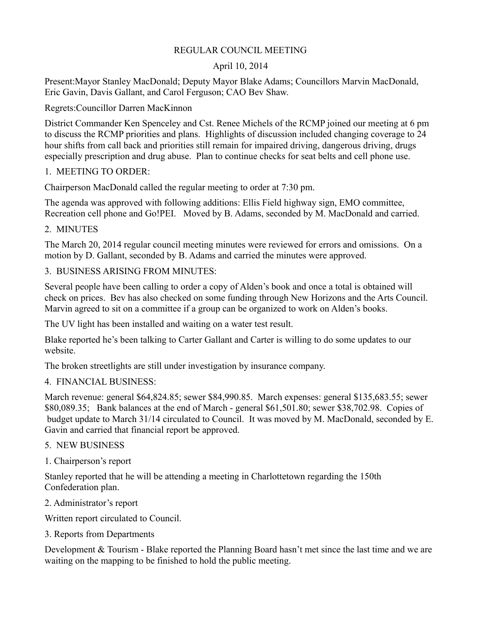## REGULAR COUNCIL MEETING

## April 10, 2014

Present:Mayor Stanley MacDonald; Deputy Mayor Blake Adams; Councillors Marvin MacDonald, Eric Gavin, Davis Gallant, and Carol Ferguson; CAO Bev Shaw.

Regrets:Councillor Darren MacKinnon

District Commander Ken Spenceley and Cst. Renee Michels of the RCMP joined our meeting at 6 pm to discuss the RCMP priorities and plans. Highlights of discussion included changing coverage to 24 hour shifts from call back and priorities still remain for impaired driving, dangerous driving, drugs especially prescription and drug abuse. Plan to continue checks for seat belts and cell phone use.

## 1. MEETING TO ORDER:

Chairperson MacDonald called the regular meeting to order at 7:30 pm.

The agenda was approved with following additions: Ellis Field highway sign, EMO committee, Recreation cell phone and Go!PEI. Moved by B. Adams, seconded by M. MacDonald and carried.

# 2. MINUTES

The March 20, 2014 regular council meeting minutes were reviewed for errors and omissions. On a motion by D. Gallant, seconded by B. Adams and carried the minutes were approved.

## 3. BUSINESS ARISING FROM MINUTES:

Several people have been calling to order a copy of Alden's book and once a total is obtained will check on prices. Bev has also checked on some funding through New Horizons and the Arts Council. Marvin agreed to sit on a committee if a group can be organized to work on Alden's books.

The UV light has been installed and waiting on a water test result.

Blake reported he's been talking to Carter Gallant and Carter is willing to do some updates to our website.

The broken streetlights are still under investigation by insurance company.

# 4. FINANCIAL BUSINESS:

March revenue: general \$64,824.85; sewer \$84,990.85. March expenses: general \$135,683.55; sewer \$80,089.35; Bank balances at the end of March - general \$61,501.80; sewer \$38,702.98. Copies of budget update to March 31/14 circulated to Council. It was moved by M. MacDonald, seconded by E. Gavin and carried that financial report be approved.

## 5. NEW BUSINESS

1. Chairperson's report

Stanley reported that he will be attending a meeting in Charlottetown regarding the 150th Confederation plan.

## 2. Administrator's report

Written report circulated to Council.

3. Reports from Departments

Development & Tourism - Blake reported the Planning Board hasn't met since the last time and we are waiting on the mapping to be finished to hold the public meeting.